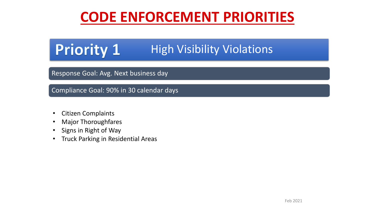# **CODE ENFORCEMENT PRIORITIES**

### **Priority 1** High Visibility Violations

### Response Goal: Avg. Next business day

Compliance Goal: 90% in 30 calendar days

- Citizen Complaints
- Major Thoroughfares
- Signs in Right of Way
- Truck Parking in Residential Areas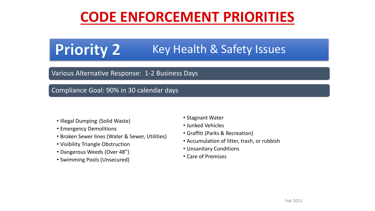# **CODE ENFORCEMENT PRIORITIES**

#### **Priority 2** Key Health & Safety Issues

#### Various Alternative Response: 1-2 Business Days

#### Compliance Goal: 90% in 30 calendar days

- Illegal Dumping (Solid Waste)
- Emergency Demolitions
- Broken Sewer lines (Water & Sewer, Utilities)
- Visibility Triangle Obstruction
- Dangerous Weeds (Over 48")
- Swimming Pools (Unsecured)
- Stagnant Water
- Junked Vehicles
- Graffiti (Parks & Recreation)
- Accumulation of litter, trash, or rubbish
- Unsanitary Conditions
- Care of Premises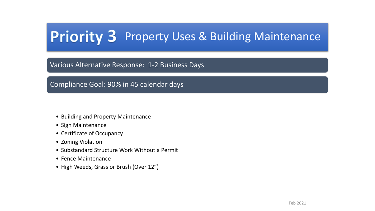# Priority 3 Property Uses & Building Maintenance

#### Various Alternative Response: 1-2 Business Days

Compliance Goal: 90% in 45 calendar days

- Building and Property Maintenance
- Sign Maintenance
- Certificate of Occupancy
- Zoning Violation
- Substandard Structure Work Without a Permit
- Fence Maintenance
- High Weeds, Grass or Brush (Over 12")